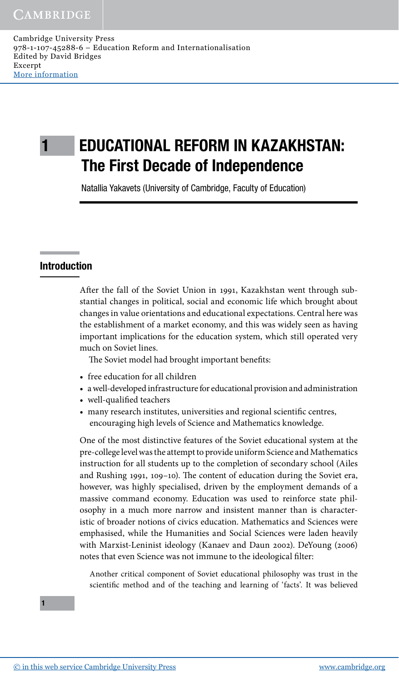Cambridge University Press 978-1-107-45288-6 – Education Reform and Internationalisation Edited by David Bridges Excerpt More [information](http://www.cambridge.org/9781107452886)

# 1 EDUCATIONAL REFORM IN KAZAKHSTAN: The First Decade of Independence

Natallia Yakavets (University of Cambridge, Faculty of Education)

# Introduction

After the fall of the Soviet Union in 1991, Kazakhstan went through substantial changes in political, social and economic life which brought about changes in value orientations and educational expectations. Central here was the establishment of a market economy, and this was widely seen as having important implications for the education system, which still operated very much on Soviet lines.

The Soviet model had brought important benefits:

- free education for all children
- a well-developed infrastructure for educational provision and administration
- well-qualified teachers
- many research institutes, universities and regional scientific centres, encouraging high levels of Science and Mathematics knowledge.

One of the most distinctive features of the Soviet educational system at the pre-college level was the attempt to provide uniform Science and Mathematics instruction for all students up to the completion of secondary school (Ailes and Rushing 1991, 109–10). The content of education during the Soviet era, however, was highly specialised, driven by the employment demands of a massive command economy. Education was used to reinforce state philosophy in a much more narrow and insistent manner than is characteristic of broader notions of civics education. Mathematics and Sciences were emphasised, while the Humanities and Social Sciences were laden heavily with Marxist-Leninist ideology (Kanaev and Daun 2002). DeYoung (2006) notes that even Science was not immune to the ideological filter:

Another critical component of Soviet educational philosophy was trust in the scientific method and of the teaching and learning of 'facts'. It was believed

1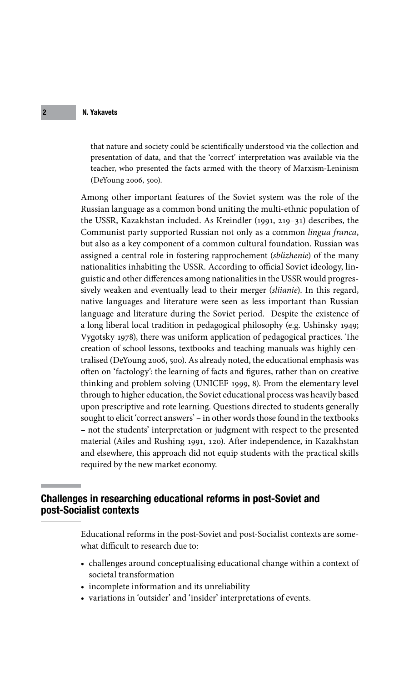that nature and society could be scientifically understood via the collection and presentation of data, and that the 'correct' interpretation was available via the teacher, who presented the facts armed with the theory of Marxism-Leninism (DeYoung 2006, 500).

material (Ailes and Rushing 1991, 120). A[fter independence,](http://www.cambridge.org) in Kazakhstan Among other important features of the Soviet system was the role of the Russian language as a common bond uniting the multi-ethnic population of the USSR, Kazakhstan included. As Kreindler (1991, 219–31) describes, the Communist party supported Russian not only as a common *lingua franca*, but also as a key component of a common cultural foundation. Russian was assigned a central role in fostering rapprochement (*sblizhenie*) of the many nationalities inhabiting the USSR. According to official Soviet ideology, linguistic and other differences among nationalities in the USSR would progressively weaken and eventually lead to their merger (*sliianie*). In this regard, native languages and literature were seen as less important than Russian language and literature during the Soviet period. Despite the existence of a long liberal local tradition in pedagogical philosophy (e.g. Ushinsky 1949; Vygotsky 1978), there was uniform application of pedagogical practices. The creation of school lessons, textbooks and teaching manuals was highly centralised (DeYoung 2006, 500). As already noted, the educational emphasis was often on 'factology': the learning of facts and figures, rather than on creative thinking and problem solving (UNICEF 1999, 8). From the elementary level through to higher education, the Soviet educational process was heavily based upon prescriptive and rote learning. Questions directed to students generally sought to elicit 'correct answers' – in other words those found in the textbooks – not the students' interpretation or judgment with respect to the presented and elsewhere, this approach did not equip students with the practical skills required by the new market economy.

# Challenges in researching educational reforms in post-Soviet and post-Socialist contexts

Educational reforms in the post-Soviet and post-Socialist contexts are somewhat difficult to research due to:

- challenges around conceptualising educational change within a context of societal transformation
- incomplete information and its unreliability
- variations in 'outsider' and 'insider' interpretations of events.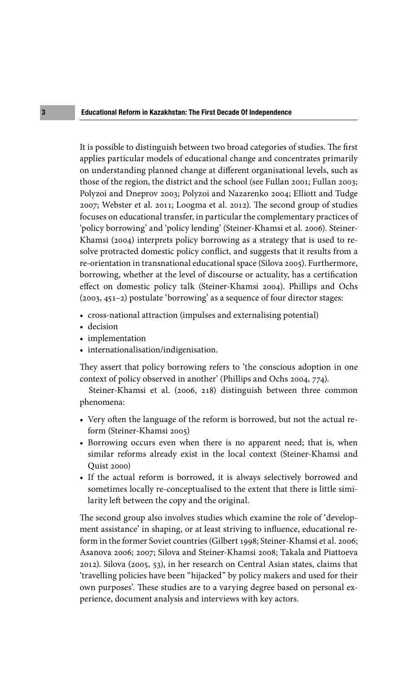It is possible to distinguish between two broad categories of studies. The first applies particular models of educational change and concentrates primarily on understanding planned change at different organisational levels, such as those of the region, the district and the school (see Fullan 2001; Fullan 2003; Polyzoi and Dneprov 2003; Polyzoi and Nazarenko 2004; Elliott and Tudge 2007; Webster et al. 2011; Loogma et al. 2012). The second group of studies focuses on educational transfer, in particular the complementary practices of 'policy borrowing' and 'policy lending' (Steiner-Khamsi et al. 2006). Steiner-Khamsi (2004) interprets policy borrowing as a strategy that is used to resolve protracted domestic policy conflict, and suggests that it results from a re-orientation in transnational educational space (Silova 2005). Furthermore, borrowing, whether at the level of discourse or actuality, has a certification effect on domestic policy talk (Steiner-Khamsi 2004). Phillips and Ochs (2003, 451–2) postulate 'borrowing' as a sequence of four director stages:

- cross-national attraction (impulses and externalising potential)
- decision
- implementation
- internationalisation/indigenisation.

They assert that policy borrowing refers to 'the conscious adoption in one context of policy observed in another' (Phillips and Ochs 2004, 774).

Steiner-Khamsi et al. (2006, 218) distinguish between three common phenomena:

- Very often the language of the reform is borrowed, but not the actual reform (Steiner-Khamsi 2005)
- Borrowing occurs even when there is [no apparent need;](http://www.cambridge.org) that is, when similar reforms already exist in the local context (Steiner-Khamsi and Quist 2000)
	- If the actual reform is borrowed, it is always selectively borrowed and sometimes locally re-conceptualised to the extent that there is little similarity left between the copy and the original.

The second group also involves studies which examine the role of 'development assistance' in shaping, or at least striving to influence, educational reform in the former Soviet countries (Gilbert 1998; Steiner-Khamsi et al. 2006; Asanova 2006; 2007; Silova and Steiner-Khamsi 2008; Takala and Piattoeva 2012). Silova (2005, 53), in her research on Central Asian states, claims that 'travelling policies have been "hijacked" by policy makers and used for their own purposes'. These studies are to a varying degree based on personal experience, document analysis and interviews with key actors.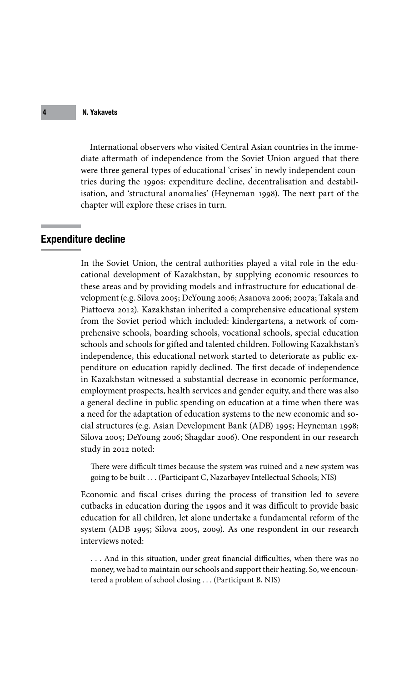International observers who visited Central Asian countries in the immediate aftermath of independence from the Soviet Union argued that there were three general types of educational 'crises' in newly independent countries during the 1990s: expenditure decline, decentralisation and destabilisation, and 'structural anomalies' (Heyneman 1998). The next part of the chapter will explore these crises in turn.

### Expenditure decline

Silova 2005; DeYoung 2006; Shagdar 2006). One respondent in our research In the Soviet Union, the central authorities played a vital role in the educational development of Kazakhstan, by supplying economic resources to these areas and by providing models and infrastructure for educational development (e.g. Silova 2005; DeYoung 2006; Asanova 2006; 2007a; Takala and Piattoeva 2012). Kazakhstan inherited a comprehensive educational system from the Soviet period which included: kindergartens, a network of comprehensive schools, boarding schools, vocational schools, special education schools and schools for gifted and talented children. Following Kazakhstan's independence, this educational network started to deteriorate as public expenditure on education rapidly declined. The first decade of independence in Kazakhstan witnessed a substantial decrease in economic performance, employment prospects, health services and gender equity, and there was also a general decline in public spending on education at a time when there was a need for the adaptation of education systems to the new economic and social structures (e.g. Asian Development Bank (ADB) 1995; Heyneman 1998; study in 2012 noted:

> There were difficult times because the system was ruined and a new system was going to be built . . . (Participant C, Nazarbayev Intellectual Schools; NIS)

Economic and fiscal crises during the process of transition led to severe cutbacks in education during the 1990s and it was difficult to provide basic education for all children, let alone undertake a fundamental reform of the system (ADB 1995; Silova 2005, 2009). As one respondent in our research interviews noted:

. . . And in this situation, under great financial difficulties, when there was no money, we had to maintain our schools and support their heating. So, we encountered a problem of school closing . . . (Participant B, NIS)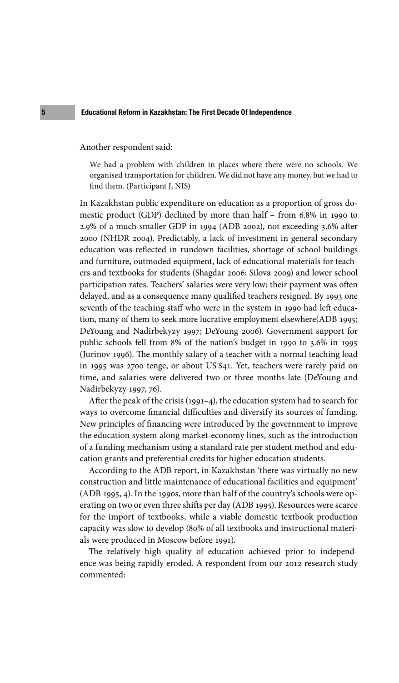Another respondent said:

We had a problem with children in places where there were no schools. We organised transportation for children. We did not have any money, but we had to find them. (Participant J, NIS)

In Kazakhstan public expenditure on education as a proportion of gross domestic product (GDP) declined by more than half – from 6.8% in 1990 to 2.9% of a much smaller GDP in 1994 (ADB 2002), not exceeding 3.6% after 2000 (NHDR 2004). Predictably, a lack of investment in general secondary education was reflected in rundown facilities, shortage of school buildings and furniture, outmoded equipment, lack of educational materials for teachers and textbooks for students (Shagdar 2006; Silova 2009) and lower school participation rates. Teachers' salaries were very low; their payment was often delayed, and as a consequence many qualified teachers resigned. By 1993 one seventh of the teaching staff who were in the system in 1990 had left education, many of them to seek more lucrative employment elsewhere(ADB 1995; DeYoung and Nadirbekyzy 1997; DeYoung 2006). Government support for public schools fell from 8% of the nation's budget in 1990 to 3.6% in 1995 (Jurinov 1996). The monthly salary of a teacher with a normal teaching load in 1995 was 2700 tenge, or about US \$41. Yet, teachers were rarely paid on time, and salaries were delivered two or three months late (DeYoung and Nadirbekyzy 1997, 76).

of a funding mechanism using a standard rate per student method and edu-After the peak of the crisis (1991–4), the education system had to search for ways to overcome financial difficulties and diversify its sources of funding. New principles of financing were introduced by the government to improve the education system along market-economy lines, such as the introduction cation grants and preferential credits for higher education students.

> According to the ADB report, in Kazakhstan 'there was virtually no new construction and little maintenance of educational facilities and equipment' (ADB 1995, 4). In the 1990s, more than half of the country's schools were operating on two or even three shifts per day (ADB 1995). Resources were scarce for the import of textbooks, while a viable domestic textbook production capacity was slow to develop (80% of all textbooks and instructional materials were produced in Moscow before 1991).

> The relatively high quality of education achieved prior to independence was being rapidly eroded. A respondent from our 2012 research study commented: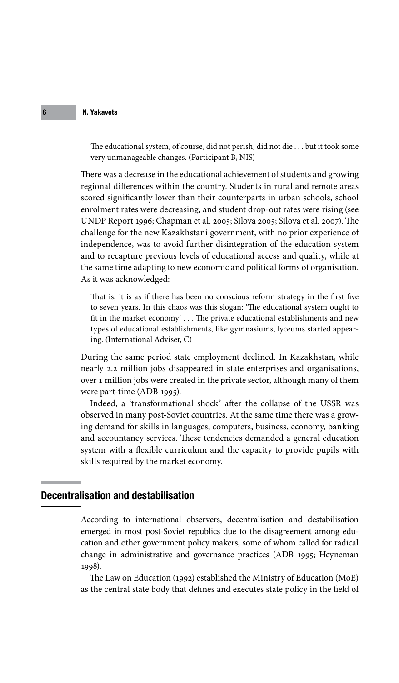The educational system, of course, did not perish, did not die . . . but it took some very unmanageable changes. (Participant B, NIS)

There was a decrease in the educational achievement of students and growing regional differences within the country. Students in rural and remote areas scored significantly lower than their counterparts in urban schools, school enrolment rates were decreasing, and student drop-out rates were rising (see UNDP Report 1996; Chapman et al. 2005; Silova 2005; Silova et al. 2007). The challenge for the new Kazakhstani government, with no prior experience of independence, was to avoid further disintegration of the education system and to recapture previous levels of educational access and quality, while at the same time adapting to new economic and political forms of organisation. As it was acknowledged:

That is, it is as if there has been no conscious reform strategy in the first five to seven years. In this chaos was this slogan: 'The educational system ought to fit in the market economy' . . . The private educational establishments and new types of educational establishments, like gymnasiums, lyceums started appearing. (International Adviser, C)

During the same period state employment declined. In Kazakhstan, while nearly 2.2 million jobs disappeared in state enterprises and organisations, over 1 million jobs were created in the private sector, although many of them were part-time (ADB 1995).

and accountancy services. These tendencies demanded a general education Indeed, a 'transformational shock' after the collapse of the USSR was observed in many post-Soviet countries. At the same time there was a growing demand for skills in languages, computers, business, economy, banking system with a flexible curriculum and the capacity to provide pupils with skills required by the market economy.

# Decentralisation and destabilisation

According to international observers, decentralisation and destabilisation emerged in most post-Soviet republics due to the disagreement among education and other government policy makers, some of whom called for radical change in administrative and governance practices (ADB 1995; Heyneman 1998).

The Law on Education (1992) established the Ministry of Education (MoE) as the central state body that defines and executes state policy in the field of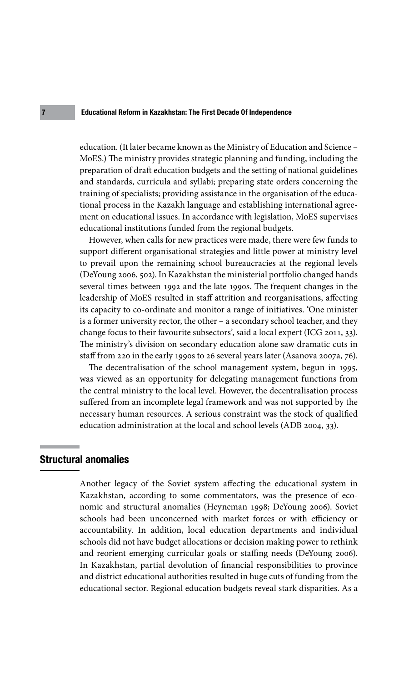education. (It later became known as the Ministry of Education and Science – MoES.) The ministry provides strategic planning and funding, including the preparation of draft education budgets and the setting of national guidelines and standards, curricula and syllabi; preparing state orders concerning the training of specialists; providing assistance in the organisation of the educational process in the Kazakh language and establishing international agreement on educational issues. In accordance with legislation, MoES supervises educational institutions funded from the regional budgets.

However, when calls for new practices were made, there were few funds to support different organisational strategies and little power at ministry level to prevail upon the remaining school bureaucracies at the regional levels (DeYoung 2006, 502). In Kazakhstan the ministerial portfolio changed hands several times between 1992 and the late 1990s. The frequent changes in the leadership of MoES resulted in staff attrition and reorganisations, affecting its capacity to co-ordinate and monitor a range of initiatives. 'One minister is a former university rector, the other – a secondary school teacher, and they change focus to their favourite subsectors', said a local expert (ICG 2011, 33). The ministry's division on secondary education alone saw dramatic cuts in staff from 220 in the early 1990s to 26 several years later (Asanova 2007a, 76).

The decentralisation of the school management system, begun in 1995, was viewed as an opportunity for delegating management functions from the central ministry to the local level. However, the decentralisation process suffered from an incomplete legal framework and was not supported by the necessary human resources. A serious constraint was the stock of qualified education administration at the local and school levels (ADB 2004, 33).

# Structural anomalies

[© in this web service Cambridge University Press](http://www.cambridge.org) [www.cambridge.org](http://www.cambridge.org)

Another legacy of the Soviet system affecting the educational system in Kazakhstan, according to some commentators, was the presence of economic and structural anomalies (Heyneman 1998; DeYoung 2006). Soviet schools had been unconcerned with market forces or with efficiency or accountability. In addition, local education departments and individual schools did not have budget allocations or decision making power to rethink and reorient emerging curricular goals or staffing needs (DeYoung 2006). In Kazakhstan, partial devolution of financial responsibilities to province and district educational authorities resulted in huge cuts of funding from the educational sector. Regional education budgets reveal stark disparities. As a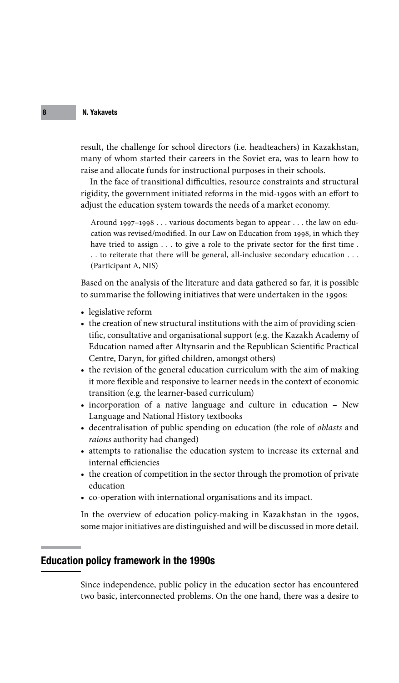result, the challenge for school directors (i.e. headteachers) in Kazakhstan, many of whom started their careers in the Soviet era, was to learn how to raise and allocate funds for instructional purposes in their schools.

In the face of transitional difficulties, resource constraints and structural rigidity, the government initiated reforms in the mid-1990s with an effort to adjust the education system towards the needs of a market economy.

Around 1997–1998 . . . various documents began to appear . . . the law on education was revised/modified. In our Law on Education from 1998, in which they have tried to assign . . . to give a role to the private sector for the first time . . . to reiterate that there will be general, all-inclusive secondary education . . . (Participant A, NIS)

Based on the analysis of the literature and data gathered so far, it is possible to summarise the following initiatives that were undertaken in the 1990s:

- legislative reform
- the creation of new structural institutions with the aim of providing scientific, consultative and organisational support (e.g. the Kazakh Academy of Education named after Altynsarin and the Republican Scientific Practical Centre, Daryn, for gifted children, amongst others)
- the revision of the general education curriculum with the aim of making it more flexible and responsive to learner needs in the context of economic transition (e.g. the learner-based curriculum)
- incorporation of a native language and culture in education New Language and National History textbooks
- raions authority had changed) • decentralisation of public spending on education (the role of *oblasts* and
	- attempts to rationalise the education system to increase its external and internal efficiencies
	- the creation of competition in the sector through the promotion of private education
	- co-operation with international organisations and its impact.

In the overview of education policy-making in Kazakhstan in the 1990s, some major initiatives are distinguished and will be discussed in more detail.

## Education policy framework in the 1990s

Since independence, public policy in the education sector has encountered two basic, interconnected problems. On the one hand, there was a desire to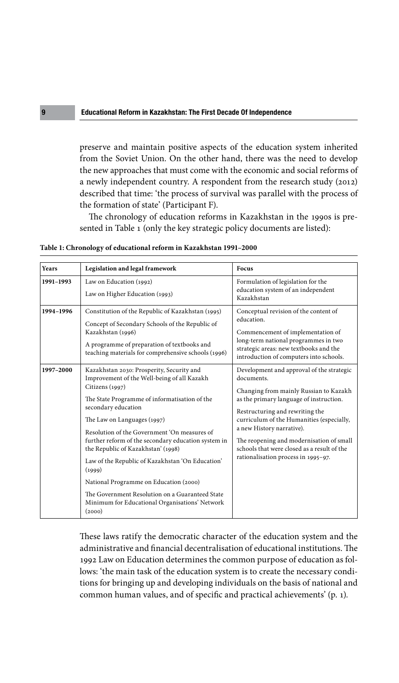preserve and maintain positive aspects of the education system inherited from the Soviet Union. On the other hand, there was the need to develop the new approaches that must come with the economic and social reforms of a newly independent country. A respondent from the research study (2012) described that time: 'the process of survival was parallel with the process of the formation of state' (Participant F).

The chronology of education reforms in Kazakhstan in the 1990s is presented in Table 1 (only the key strategic policy documents are listed):

| <b>Years</b> | Legislation and legal framework                                                                                                                                                                                                                                                                                                                                                                                                                                                                                                                                                        | <b>Focus</b>                                                                                                                                                                                                                                                                                                                                                                                |
|--------------|----------------------------------------------------------------------------------------------------------------------------------------------------------------------------------------------------------------------------------------------------------------------------------------------------------------------------------------------------------------------------------------------------------------------------------------------------------------------------------------------------------------------------------------------------------------------------------------|---------------------------------------------------------------------------------------------------------------------------------------------------------------------------------------------------------------------------------------------------------------------------------------------------------------------------------------------------------------------------------------------|
| 1991-1993    | Law on Education (1992)<br>Law on Higher Education (1993)                                                                                                                                                                                                                                                                                                                                                                                                                                                                                                                              | Formulation of legislation for the<br>education system of an independent<br>Kazakhstan                                                                                                                                                                                                                                                                                                      |
| 1994-1996    | Constitution of the Republic of Kazakhstan (1995)<br>Concept of Secondary Schools of the Republic of<br>Kazakhstan (1996)<br>A programme of preparation of textbooks and<br>teaching materials for comprehensive schools (1996)                                                                                                                                                                                                                                                                                                                                                        | Conceptual revision of the content of<br>education.<br>Commencement of implementation of<br>long-term national programmes in two<br>strategic areas: new textbooks and the<br>introduction of computers into schools.                                                                                                                                                                       |
| 1997-2000    | Kazakhstan 2030: Prosperity, Security and<br>Improvement of the Well-being of all Kazakh<br>Citizens (1997)<br>The State Programme of informatisation of the<br>secondary education<br>The Law on Languages (1997)<br>Resolution of the Government 'On measures of<br>further reform of the secondary education system in<br>the Republic of Kazakhstan' (1998)<br>Law of the Republic of Kazakhstan 'On Education'<br>(1999)<br>National Programme on Education (2000)<br>The Government Resolution on a Guaranteed State<br>Minimum for Educational Organisations' Network<br>(2000) | Development and approval of the strategic<br>documents.<br>Changing from mainly Russian to Kazakh<br>as the primary language of instruction.<br>Restructuring and rewriting the<br>curriculum of the Humanities (especially,<br>a new History narrative).<br>The reopening and modernisation of small<br>schools that were closed as a result of the<br>rationalisation process in 1995-97. |

**Table 1: Chronology of educational reform in Kazakhstan 1991–2000**

These laws ratify the democratic character of the education system and the administrative and financial decentralisation of educational institutions. The 1992 Law on Education determines the common purpose of education as follows: 'the main task of the education system is to create the necessary conditions for bringing up and developing individuals on the basis of national and common human values, and of specific and practical achievements' (p. 1)*.*